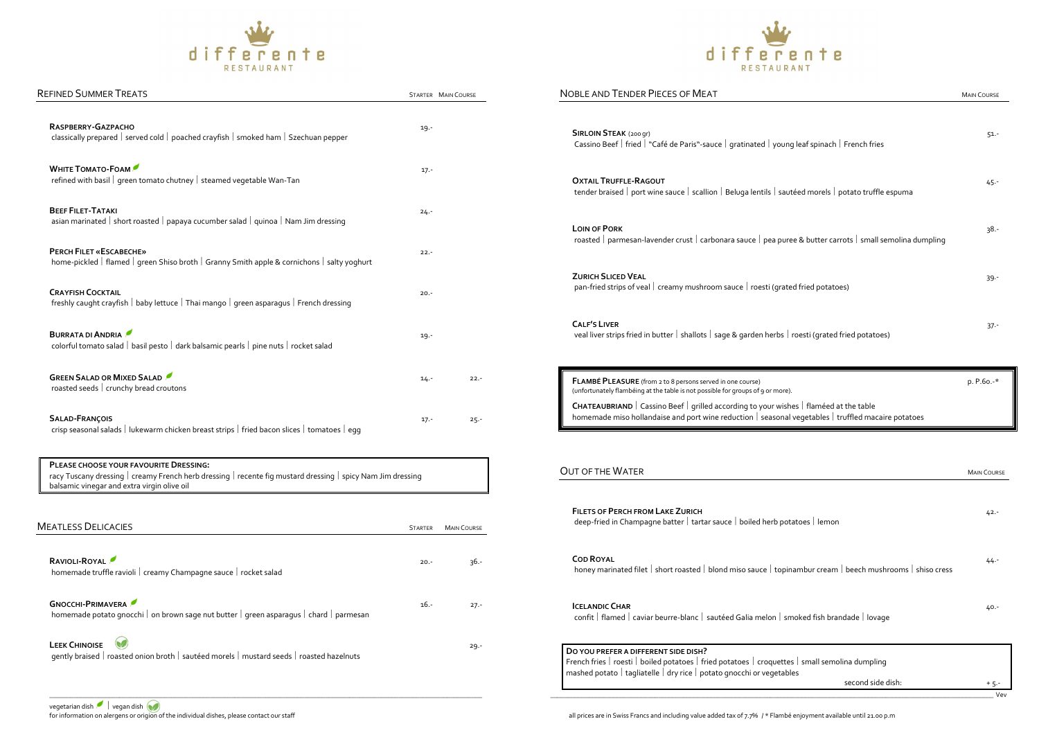|                                                                                                                                                                                                      |                     | NOBLE AND TENDER PIECES OF MEAT                                                                                                                                                                      | <b>MAIN COURSE</b> |
|------------------------------------------------------------------------------------------------------------------------------------------------------------------------------------------------------|---------------------|------------------------------------------------------------------------------------------------------------------------------------------------------------------------------------------------------|--------------------|
| RASPBERRY-GAZPACHO<br>classically prepared   served cold   poached crayfish   smoked ham   Szechuan pepper                                                                                           | 19.-                | <b>SIRLOIN STEAK (200 gr)</b><br>Cassino Beef   fried   "Café de Paris"-sauce   gratinated   young leaf spinach   French fries                                                                       | $51 -$             |
| WHITE TOMATO-FOAM<br>refined with basil   green tomato chutney   steamed vegetable Wan-Tan                                                                                                           | $17 -$              | <b>OXTAIL TRUFFLE-RAGOUT</b><br>tender braised   port wine sauce   scallion   Beluga lentils   sautéed morels   potato truffle espuma                                                                | $45 -$             |
| <b>BEEF FILET-TATAKI</b><br>asian marinated   short roasted   papaya cucumber salad   quinoa   Nam Jim dressing                                                                                      | $24 -$              | <b>LOIN OF PORK</b>                                                                                                                                                                                  | $38. -$            |
| PERCH FILET «ESCABECHE»<br>home-pickled   flamed   green Shiso broth   Granny Smith apple & cornichons   salty yoghurt                                                                               | $22 -$              | roasted   parmesan-lavender crust   carbonara sauce   pea puree & butter carrots   small semolina dumpling                                                                                           |                    |
| <b>CRAYFISH COCKTAIL</b><br>freshly caught crayfish   baby lettuce   Thai mango   green asparagus   French dressing                                                                                  | $20. -$             | <b>ZURICH SLICED VEAL</b><br>pan-fried strips of veal   creamy mushroom sauce   roesti (grated fried potatoes)                                                                                       | $39 -$             |
| <b>BURRATA DI ANDRIA</b><br>colorful tomato salad   basil pesto   dark balsamic pearls   pine nuts   rocket salad                                                                                    | 19.-                | <b>CALF'S LIVER</b><br>veal liver strips fried in butter   shallots   sage & garden herbs   roesti (grated fried potatoes)                                                                           | $37 -$             |
| <b>GREEN SALAD OR MIXED SALAD</b><br>roasted seeds   crunchy bread croutons                                                                                                                          | $22 -$<br>$14 -$    | FLAMBÉ PLEASURE (from 2 to 8 persons served in one course)<br>(unfortunately flambéing at the table is not possible for groups of 9 or more).                                                        | p. P.6o.-*         |
|                                                                                                                                                                                                      |                     |                                                                                                                                                                                                      |                    |
| <b>SALAD-FRANÇOIS</b><br>crisp seasonal salads   lukewarm chicken breast strips   fried bacon slices   tomatoes   egg                                                                                | $17. -$<br>$25 -$   | <b>CHATEAUBRIAND</b>   Cassino Beef   grilled according to your wishes   flaméed at the table<br>homemade miso hollandaise and port wine reduction   seasonal vegetables   truffled macaire potatoes |                    |
| PLEASE CHOOSE YOUR FAVOURITE DRESSING:<br>racy Tuscany dressing   creamy French herb dressing   recente fig mustard dressing   spicy Nam Jim dressing<br>balsamic vinegar and extra virgin olive oil |                     | <b>OUT OF THE WATER</b>                                                                                                                                                                              | <b>MAIN COURSE</b> |
| <b>MEATLESS DELICACIES</b>                                                                                                                                                                           | STARTER MAIN COURSE | <b>FILETS OF PERCH FROM LAKE ZURICH</b><br>deep-fried in Champagne batter   tartar sauce   boiled herb potatoes   lemon                                                                              | $42 -$             |
| RAVIOLI-ROYAL<br>homemade truffle ravioli   creamy Champagne sauce   rocket salad                                                                                                                    | 36.-<br>$20. -$     | <b>COD ROYAL</b><br>honey marinated filet   short roasted   blond miso sauce   topinambur cream   beech mushrooms   shiso cress                                                                      | 44.7               |
| <b>GNOCCHI-PRIMAVERA</b><br>homemade potato gnocchi   on brown sage nut butter   green asparagus   chard   parmesan                                                                                  | - 16.<br>$27 -$     | <b>ICELANDIC CHAR</b><br>confit   flamed   caviar beurre-blanc   sautéed Galia melon   smoked fish brandade   lovage                                                                                 | $40 -$             |





|  |        |         | $\overline{r}$ |
|--|--------|---------|----------------|
|  | differ | RESTAUR |                |

| <b>REFINED SUMMER TREATS</b>                                                                                                                                                                         |                | STARTER MAIN COURSE |
|------------------------------------------------------------------------------------------------------------------------------------------------------------------------------------------------------|----------------|---------------------|
| RASPBERRY-GAZPACHO<br>classically prepared   served cold   poached crayfish   smoked ham   Szechuan pepper                                                                                           | $19 -$         |                     |
| <b>WHITE TOMATO-FOAM</b><br>refined with basil   green tomato chutney   steamed vegetable Wan-Tan                                                                                                    | $17 -$         |                     |
| <b>BEEF FILET-TATAKI</b><br>asian marinated   short roasted   papaya cucumber salad   quinoa   Nam Jim dressing                                                                                      | $24 -$         |                     |
| PERCH FILET «ESCABECHE»<br>home-pickled   flamed   green Shiso broth   Granny Smith apple & cornichons   salty yoghurt                                                                               | $22. -$        |                     |
| <b>CRAYFISH COCKTAIL</b><br>freshly caught crayfish   baby lettuce   Thai mango   green asparagus   French dressing                                                                                  | $20. -$        |                     |
| BURRATA DI ANDRIA<br>colorful tomato salad   basil pesto   dark balsamic pearls   pine nuts   rocket salad                                                                                           | $19. -$        |                     |
| <b>GREEN SALAD OR MIXED SALAD</b><br>roasted seeds   crunchy bread croutons                                                                                                                          | $14. -$        | $22 -$              |
| <b>SALAD-FRANÇOIS</b><br>crisp seasonal salads   lukewarm chicken breast strips   fried bacon slices   tomatoes   egg                                                                                | $17 -$         | $25 -$              |
| PLEASE CHOOSE YOUR FAVOURITE DRESSING:<br>racy Tuscany dressing   creamy French herb dressing   recente fig mustard dressing   spicy Nam Jim dressing<br>balsamic vinegar and extra virgin olive oil |                |                     |
| <b>MEATLESS DELICACIES</b>                                                                                                                                                                           | <b>STARTER</b> | <b>MAIN COURSE</b>  |

| RAVIOLI-ROYAL<br>homemade truffle ravioli   creamy Champagne sauce   rocket salad                                   | $20. -$ | $36 -$  |
|---------------------------------------------------------------------------------------------------------------------|---------|---------|
| <b>GNOCCHI-PRIMAVERA</b><br>homemade potato gnocchi   on brown sage nut butter   green asparagus   chard   parmesan | $16. -$ | $27. -$ |
| <b>LEEK CHINOISE</b><br>gently braised   roasted onion broth   sautéed morels   mustard seeds   roasted hazelnuts   |         | $29. -$ |

|                                                                                                                                                                                                                                                                                         | <b>MAIN COURSE</b>           |
|-----------------------------------------------------------------------------------------------------------------------------------------------------------------------------------------------------------------------------------------------------------------------------------------|------------------------------|
| <b>SIRLOIN STEAK (200 gr)</b><br>Cassino Beef   fried   "Café de Paris"-sauce   gratinated   young leaf spinach   French fries                                                                                                                                                          | $51 -$                       |
| <b>OXTAIL TRUFFLE-RAGOUT</b><br>tender braised   port wine sauce   scallion   Beluga lentils   sautéed morels   potato truffle espuma                                                                                                                                                   | $45 -$                       |
| <b>LOIN OF PORK</b><br>roasted   parmesan-lavender crust   carbonara sauce   pea puree & butter carrots   small semolina dumpling                                                                                                                                                       | 38.-                         |
| <b>ZURICH SLICED VEAL</b><br>pan-fried strips of veal   creamy mushroom sauce   roesti (grated fried potatoes)                                                                                                                                                                          | $39 -$                       |
| <b>CALF'S LIVER</b><br>veal liver strips fried in butter   shallots   sage & garden herbs   roesti (grated fried potatoes)                                                                                                                                                              | $37 -$                       |
| FLAMBÉ PLEASURE (from 2 to 8 persons served in one course)                                                                                                                                                                                                                              | $p. P.60. -*$                |
| (unfortunately flambéing at the table is not possible for groups of 9 or more).<br><b>CHATEAUBRIAND</b>   Cassino Beef   grilled according to your wishes   flaméed at the table<br>homemade miso hollandaise and port wine reduction   seasonal vegetables   truffled macaire potatoes |                              |
|                                                                                                                                                                                                                                                                                         |                              |
| <b>FILETS OF PERCH FROM LAKE ZURICH</b><br>deep-fried in Champagne batter   tartar sauce   boiled herb potatoes   lemon                                                                                                                                                                 | $42 -$                       |
| <b>OUT OF THE WATER</b><br><b>COD ROYAL</b><br>honey marinated filet   short roasted   blond miso sauce   topinambur cream   beech mushrooms   shiso cress                                                                                                                              | $44. -$                      |
| <b>ICELANDIC CHAR</b><br>confit   flamed   caviar beurre-blanc   sautéed Galia melon   smoked fish brandade   lovage                                                                                                                                                                    | <b>MAIN COURSE</b><br>$40 -$ |

| <b>SIRLOIN STEAK (200 gr)</b><br>Cassino Beef   fried   "Café de Paris"-sauce   gratinated   young leaf spinach   French fries                                                                                                                                                                                                                        | $51 -$             |
|-------------------------------------------------------------------------------------------------------------------------------------------------------------------------------------------------------------------------------------------------------------------------------------------------------------------------------------------------------|--------------------|
| <b>OXTAIL TRUFFLE-RAGOUT</b><br>tender braised   port wine sauce   scallion   Beluga lentils   sautéed morels   potato truffle espuma                                                                                                                                                                                                                 | 45 -               |
| <b>LOIN OF PORK</b><br>roasted   parmesan-lavender crust   carbonara sauce   pea puree & butter carrots   small semolina dumpling                                                                                                                                                                                                                     | $38 -$             |
| <b>ZURICH SLICED VEAL</b><br>pan-fried strips of veal   creamy mushroom sauce   roesti (grated fried potatoes)                                                                                                                                                                                                                                        | $39 -$             |
| <b>CALF'S LIVER</b><br>veal liver strips fried in butter   shallots   sage & garden herbs   roesti (grated fried potatoes)                                                                                                                                                                                                                            | $37 -$             |
| FLAMBÉ PLEASURE (from 2 to 8 persons served in one course)<br>(unfortunately flambéing at the table is not possible for groups of 9 or more).<br><b>CHATEAUBRIAND</b>   Cassino Beef   grilled according to your wishes   flaméed at the table<br>homemade miso hollandaise and port wine reduction   seasonal vegetables   truffled macaire potatoes | p. P.60.-*         |
| JT OF THE WATER                                                                                                                                                                                                                                                                                                                                       |                    |
|                                                                                                                                                                                                                                                                                                                                                       | <b>MAIN COURSE</b> |
| deep-fried in Champagne batter   tartar sauce   boiled herb potatoes   lemon                                                                                                                                                                                                                                                                          | $42 -$             |
| honey marinated filet   short roasted   blond miso sauce   topinambur cream   beech mushrooms   shiso cress                                                                                                                                                                                                                                           | $44 -$             |
| <b>FILETS OF PERCH FROM LAKE ZURICH</b><br><b>COD ROYAL</b><br><b>ICELANDIC CHAR</b><br>confit   flamed   caviar beurre-blanc   sautéed Galia melon   smoked fish brandade   lovage                                                                                                                                                                   | 40.-               |